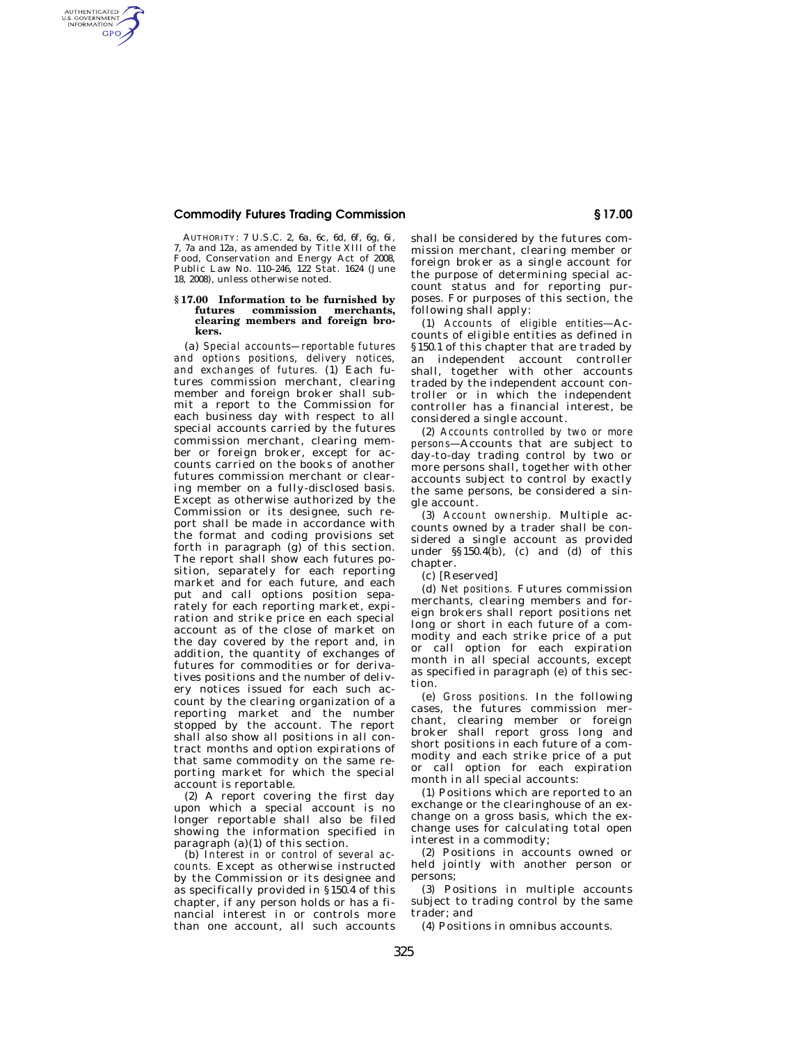## **Commodity Futures Trading Commission § 17.00**

AUTHENTICATED<br>U.S. GOVERNMENT<br>INFORMATION GPO

> AUTHORITY: 7 U.S.C. 2, 6a, 6c, 6d, 6f, 6g, 6i, 7, 7a and 12a, as amended by Title XIII of the Food, Conservation and Energy Act of 2008, Public Law No. 110–246, 122 Stat. 1624 (June 18, 2008), unless otherwise noted.

## **§ 17.00 Information to be furnished by futures commission merchants, clearing members and foreign brokers.**

(a) *Special accounts—reportable futures and options positions, delivery notices, and exchanges of futures.* (1) Each futures commission merchant, clearing member and foreign broker shall submit a report to the Commission for each business day with respect to all special accounts carried by the futures commission merchant, clearing member or foreign broker, except for accounts carried on the books of another futures commission merchant or clearing member on a fully-disclosed basis. Except as otherwise authorized by the Commission or its designee, such report shall be made in accordance with the format and coding provisions set forth in paragraph (g) of this section. The report shall show each futures position, separately for each reporting market and for each future, and each put and call options position separately for each reporting market, expiration and strike price en each special account as of the close of market on the day covered by the report and, in addition, the quantity of exchanges of futures for commodities or for derivatives positions and the number of delivery notices issued for each such account by the clearing organization of a reporting market and the number stopped by the account. The report shall also show all positions in all contract months and option expirations of that same commodity on the same reporting market for which the special account is reportable.

(2) A report covering the first day upon which a special account is no longer reportable shall also be filed showing the information specified in paragraph (a)(1) of this section.

(b) *Interest in or control of several accounts.* Except as otherwise instructed by the Commission or its designee and as specifically provided in §150.4 of this chapter, if any person holds or has a financial interest in or controls more than one account, all such accounts

shall be considered by the futures commission merchant, clearing member or foreign broker as a single account for the purpose of determining special account status and for reporting purposes. For purposes of this section, the following shall apply:

(1) *Accounts of eligible entities*—Accounts of eligible entities as defined in §150.1 of this chapter that are traded by an independent account controller shall, together with other accounts traded by the independent account controller or in which the independent controller has a financial interest, be considered a single account.

(2) *Accounts controlled by two or more persons*—Accounts that are subject to day-to-day trading control by two or more persons shall, together with other accounts subject to control by exactly the same persons, be considered a single account.

(3) *Account ownership.* Multiple accounts owned by a trader shall be considered a single account as provided under §§150.4(b), (c) and (d) of this chapter.

(c) [Reserved]

(d) *Net positions.* Futures commission merchants, clearing members and foreign brokers shall report positions net long or short in each future of a commodity and each strike price of a put or call option for each expiration month in all special accounts, except as specified in paragraph (e) of this section.

(e) *Gross positions.* In the following cases, the futures commission merchant, clearing member or foreign broker shall report gross long and short positions in each future of a commodity and each strike price of a put or call option for each expiration month in all special accounts:

(1) Positions which are reported to an exchange or the clearinghouse of an exchange on a gross basis, which the exchange uses for calculating total open interest in a commodity;

(2) Positions in accounts owned or held jointly with another person or persons;

(3) Positions in multiple accounts subject to trading control by the same trader; and

(4) Positions in omnibus accounts.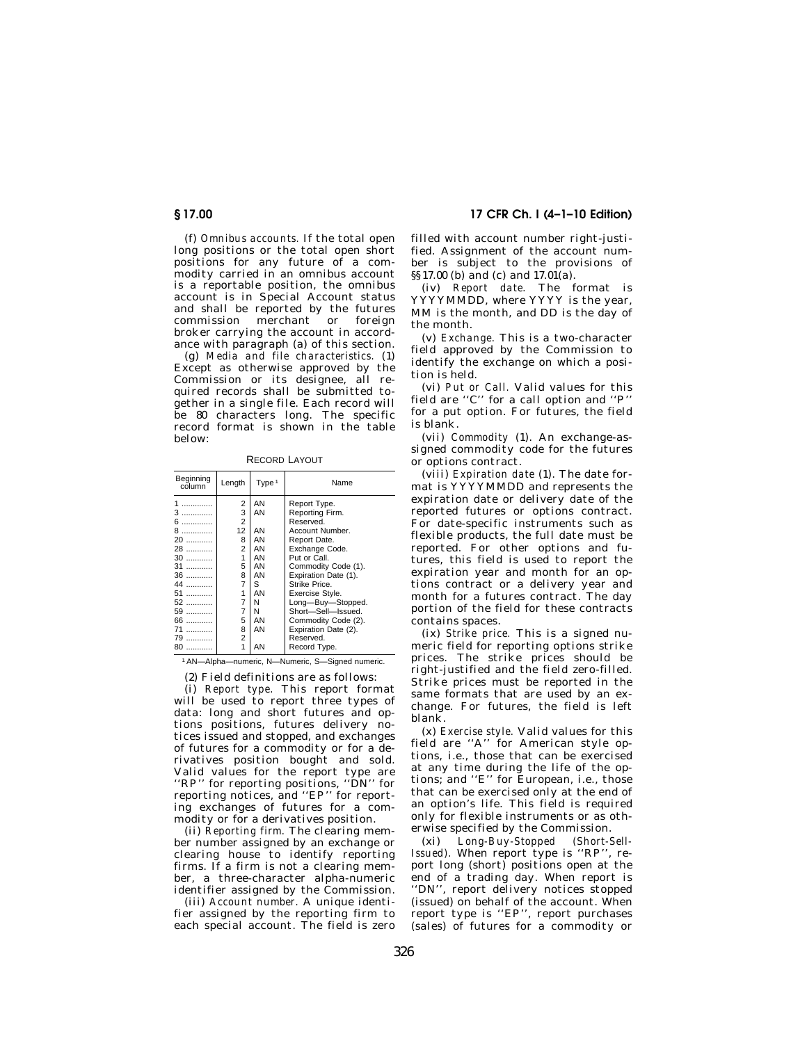(f) *Omnibus accounts.* If the total open long positions or the total open short positions for any future of a commodity carried in an omnibus account is a reportable position, the omnibus account is in Special Account status and shall be reported by the futures commission merchant or foreign broker carrying the account in accordance with paragraph (a) of this section.

(g) *Media and file characteristics.* (1) Except as otherwise approved by the Commission or its designee, all required records shall be submitted together in a single file. Each record will be 80 characters long. The specific record format is shown in the table below:

RECORD LAYOUT

| Beginning<br>column                                                                       | Length                                                                                                                                         | Type <sup>1</sup>                                                             | Name                                                                                                                                                                                                                                                                                                        |
|-------------------------------------------------------------------------------------------|------------------------------------------------------------------------------------------------------------------------------------------------|-------------------------------------------------------------------------------|-------------------------------------------------------------------------------------------------------------------------------------------------------------------------------------------------------------------------------------------------------------------------------------------------------------|
| 1<br>3<br>8<br>20<br>28<br>30<br>$31$<br>$36$<br>44<br>51<br>52<br>59<br>66<br>71<br>$79$ | $\overline{2}$<br>3<br>$\overline{2}$<br>12<br>8<br>$\overline{2}$<br>1<br>5<br>8<br>$\overline{7}$<br>1<br>$\overline{7}$<br>7<br>5<br>8<br>2 | AN<br>AN<br>AN<br>AN<br>AN<br>AN<br>AN<br>AN<br>S<br>AN<br>N<br>N<br>AN<br>AN | Report Type.<br>Reporting Firm.<br>Reserved.<br>Account Number.<br>Report Date.<br>Exchange Code.<br>Put or Call.<br>Commodity Code (1).<br>Expiration Date (1).<br>Strike Price.<br>Exercise Style.<br>Long-Buy-Stopped.<br>Short-Sell-Issued.<br>Commodity Code (2).<br>Expiration Date (2).<br>Reserved. |
| 80                                                                                        | $\mathbf{1}$                                                                                                                                   | AN                                                                            | Record Type.                                                                                                                                                                                                                                                                                                |

1AN—Alpha—numeric, N—Numeric, S—Signed numeric.

(2) Field definitions are as follows:

(i) *Report type.* This report format will be used to report three types of data: long and short futures and options positions, futures delivery notices issued and stopped, and exchanges of futures for a commodity or for a derivatives position bought and sold. Valid values for the report type are ''RP'' for reporting positions, ''DN'' for reporting notices, and ''EP'' for reporting exchanges of futures for a commodity or for a derivatives position.

(ii) *Reporting firm.* The clearing member number assigned by an exchange or clearing house to identify reporting firms. If a firm is not a clearing member, a three-character alpha-numeric identifier assigned by the Commission.

(iii) *Account number.* A unique identifier assigned by the reporting firm to each special account. The field is zero

**§ 17.00 17 CFR Ch. I (4–1–10 Edition)** 

filled with account number right-justified. Assignment of the account number is subject to the provisions of §§17.00 (b) and (c) and 17.01(a).

(iv) *Report date.* The format is YYYYMMDD, where YYYY is the year, MM is the month, and DD is the day of the month.

(v) *Exchange.* This is a two-character field approved by the Commission to identify the exchange on which a position is held.

(vi) *Put or Call.* Valid values for this field are ''C'' for a call option and ''P'' for a put option. For futures, the field is blank.

(vii) *Commodity* (1). An exchange-assigned commodity code for the futures or options contract.

(viii) *Expiration date* (1). The date format is YYYYMMDD and represents the expiration date or delivery date of the reported futures or options contract. For date-specific instruments such as flexible products, the full date must be reported. For other options and futures, this field is used to report the expiration year and month for an options contract or a delivery year and month for a futures contract. The day portion of the field for these contracts contains spaces.

(ix) *Strike price.* This is a signed numeric field for reporting options strike prices. The strike prices should be right-justified and the field zero-filled. Strike prices must be reported in the same formats that are used by an exchange. For futures, the field is left blank.

(x) *Exercise style.* Valid values for this field are ''A'' for American style options, i.e., those that can be exercised at any time during the life of the options; and ''E'' for European, i.e., those that can be exercised only at the end of an option's life. This field is required only for flexible instruments or as oth-

erwise specified by the Commission.<br>(xi) Long-Buy-Stopped (Short-Sell-(xi) *Long-Buy-Stopped Issued).* When report type is ''RP'', report long (short) positions open at the end of a trading day. When report is ''DN'', report delivery notices stopped (issued) on behalf of the account. When report type is ''EP'', report purchases (sales) of futures for a commodity or